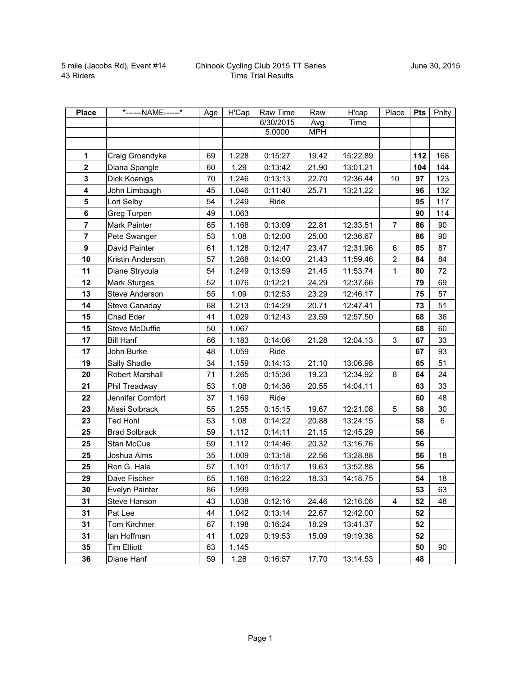| <b>Place</b>            | *------NAME------*   | Age | H'Cap | Raw Time  | Raw        | H'cap    | Place          | Pts | Pnlty |
|-------------------------|----------------------|-----|-------|-----------|------------|----------|----------------|-----|-------|
|                         |                      |     |       | 6/30/2015 | Avg        | Time     |                |     |       |
|                         |                      |     |       | 5.0000    | <b>MPH</b> |          |                |     |       |
|                         |                      |     |       |           |            |          |                |     |       |
| 1                       | Craig Groendyke      | 69  | 1.228 | 0:15:27   | 19.42      | 15:22.89 |                | 112 | 168   |
| $\mathbf{2}$            | Diana Spangle        | 60  | 1.29  | 0:13:42   | 21.90      | 13:01.21 |                | 104 | 144   |
| $\mathbf 3$             | Dick Koenigs         | 70  | 1.246 | 0:13:13   | 22.70      | 12:36.44 | 10             | 97  | 123   |
| $\overline{\mathbf{4}}$ | John Limbaugh        | 45  | 1.046 | 0:11:40   | 25.71      | 13:21.22 |                | 96  | 132   |
| 5                       | Lori Selby           | 54  | 1.249 | Ride      |            |          |                | 95  | 117   |
| 6                       | Greg Turpen          | 49  | 1.063 |           |            |          |                | 90  | 114   |
| $\overline{7}$          | Mark Painter         | 65  | 1.168 | 0:13:09   | 22.81      | 12:33.51 | 7              | 86  | 90    |
| $\overline{7}$          | Pete Swanger         | 53  | 1.08  | 0:12:00   | 25.00      | 12:36.67 |                | 86  | 90    |
| 9                       | David Painter        | 61  | 1.128 | 0:12:47   | 23.47      | 12:31.96 | 6              | 85  | 87    |
| 10                      | Kristin Anderson     | 57  | 1.268 | 0:14:00   | 21.43      | 11:59.46 | $\overline{2}$ | 84  | 84    |
| 11                      | Diane Strycula       | 54  | 1.249 | 0:13:59   | 21.45      | 11:53.74 | 1              | 80  | 72    |
| 12                      | Mark Sturges         | 52  | 1.076 | 0:12:21   | 24.29      | 12:37.66 |                | 79  | 69    |
| 13                      | Steve Anderson       | 55  | 1.09  | 0:12:53   | 23.29      | 12:46.17 |                | 75  | 57    |
| 14                      | Steve Canaday        | 68  | 1.213 | 0:14:29   | 20.71      | 12:47.41 |                | 73  | 51    |
| 15                      | Chad Eder            | 41  | 1.029 | 0:12:43   | 23.59      | 12:57.50 |                | 68  | 36    |
| 15                      | Steve McDuffie       | 50  | 1.067 |           |            |          |                | 68  | 60    |
| 17                      | <b>Bill Hanf</b>     | 66  | 1.183 | 0:14:06   | 21.28      | 12:04.13 | 3              | 67  | 33    |
| 17                      | John Burke           | 48  | 1.059 | Ride      |            |          |                | 67  | 93    |
| 19                      | Sally Shadle         | 34  | 1.159 | 0:14:13   | 21.10      | 13:06.98 |                | 65  | 51    |
| 20                      | Robert Marshall      | 71  | 1.265 | 0:15:36   | 19.23      | 12:34.92 | 8              | 64  | 24    |
| 21                      | Phil Treadway        | 53  | 1.08  | 0:14:36   | 20.55      | 14:04.11 |                | 63  | 33    |
| 22                      | Jennifer Comfort     | 37  | 1.169 | Ride      |            |          |                | 60  | 48    |
| 23                      | Missi Solbrack       | 55  | 1.255 | 0:15:15   | 19.67      | 12:21.08 | 5              | 58  | 30    |
| 23                      | <b>Ted Hohl</b>      | 53  | 1.08  | 0:14:22   | 20.88      | 13:24.15 |                | 58  | 6     |
| 25                      | <b>Brad Solbrack</b> | 59  | 1.112 | 0:14:11   | 21.15      | 12:45.29 |                | 56  |       |
| 25                      | Stan McCue           | 59  | 1.112 | 0:14:46   | 20.32      | 13:16.76 |                | 56  |       |
| 25                      | Joshua Alms          | 35  | 1.009 | 0:13:18   | 22.56      | 13:28.88 |                | 56  | 18    |
| 25                      | Ron G. Hale          | 57  | 1.101 | 0:15:17   | 19.63      | 13:52.88 |                | 56  |       |
| 29                      | Dave Fischer         | 65  | 1.168 | 0:16:22   | 18.33      | 14:18.75 |                | 54  | 18    |
| 30                      | Evelyn Painter       | 86  | 1.999 |           |            |          |                | 53  | 63    |
| 31                      | Steve Hanson         | 43  | 1.038 | 0:12:16   | 24.46      | 12:16.06 | 4              | 52  | 48    |
| 31                      | Pat Lee              | 44  | 1.042 | 0:13:14   | 22.67      | 12:42.00 |                | 52  |       |
| 31                      | Tom Kirchner         | 67  | 1.198 | 0:16:24   | 18.29      | 13:41.37 |                | 52  |       |
| 31                      | lan Hoffman          | 41  | 1.029 | 0:19:53   | 15.09      | 19:19.38 |                | 52  |       |
| 35                      | <b>Tim Elliott</b>   | 63  | 1.145 |           |            |          |                | 50  | 90    |
| 36                      | Diane Hanf           | 59  | 1.28  | 0:16:57   | 17.70      | 13:14.53 |                | 48  |       |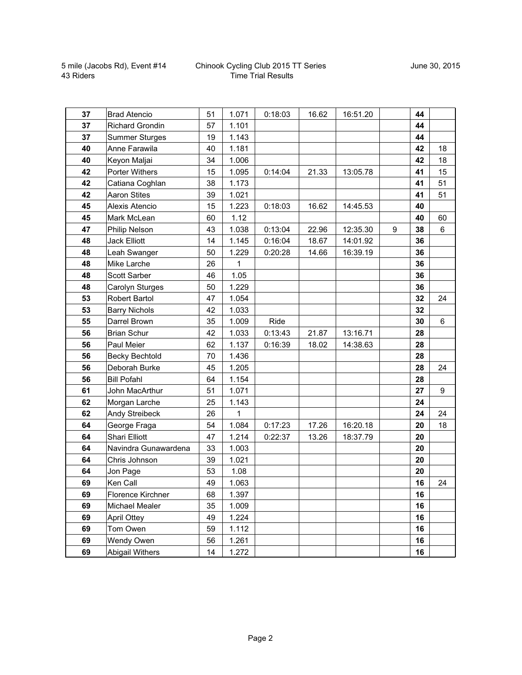| 37 | <b>Brad Atencio</b>    | 51 | 1.071       | 0:18:03 | 16.62 | 16:51.20 |   | 44 |                  |
|----|------------------------|----|-------------|---------|-------|----------|---|----|------------------|
| 37 | <b>Richard Grondin</b> | 57 | 1.101       |         |       |          |   | 44 |                  |
| 37 | <b>Summer Sturges</b>  | 19 | 1.143       |         |       |          |   | 44 |                  |
| 40 | Anne Farawila          | 40 | 1.181       |         |       |          |   | 42 | 18               |
| 40 | Keyon Maljai           | 34 | 1.006       |         |       |          |   | 42 | 18               |
| 42 | Porter Withers         | 15 | 1.095       | 0:14:04 | 21.33 | 13:05.78 |   | 41 | 15               |
| 42 | Catiana Coghlan        | 38 | 1.173       |         |       |          |   | 41 | 51               |
| 42 | <b>Aaron Stites</b>    | 39 | 1.021       |         |       |          |   | 41 | 51               |
| 45 | Alexis Atencio         | 15 | 1.223       | 0:18:03 | 16.62 | 14:45.53 |   | 40 |                  |
| 45 | Mark McLean            | 60 | 1.12        |         |       |          |   | 40 | 60               |
| 47 | Philip Nelson          | 43 | 1.038       | 0:13:04 | 22.96 | 12:35.30 | 9 | 38 | 6                |
| 48 | <b>Jack Elliott</b>    | 14 | 1.145       | 0:16:04 | 18.67 | 14:01.92 |   | 36 |                  |
| 48 | Leah Swanger           | 50 | 1.229       | 0:20:28 | 14.66 | 16:39.19 |   | 36 |                  |
| 48 | Mike Larche            | 26 | $\mathbf 1$ |         |       |          |   | 36 |                  |
| 48 | Scott Sarber           | 46 | 1.05        |         |       |          |   | 36 |                  |
| 48 | Carolyn Sturges        | 50 | 1.229       |         |       |          |   | 36 |                  |
| 53 | Robert Bartol          | 47 | 1.054       |         |       |          |   | 32 | 24               |
| 53 | <b>Barry Nichols</b>   | 42 | 1.033       |         |       |          |   | 32 |                  |
| 55 | Darrel Brown           | 35 | 1.009       | Ride    |       |          |   | 30 | 6                |
| 56 | <b>Brian Schur</b>     | 42 | 1.033       | 0:13:43 | 21.87 | 13:16.71 |   | 28 |                  |
| 56 | Paul Meier             | 62 | 1.137       | 0:16:39 | 18.02 | 14:38.63 |   | 28 |                  |
| 56 | <b>Becky Bechtold</b>  | 70 | 1.436       |         |       |          |   | 28 |                  |
| 56 | Deborah Burke          | 45 | 1.205       |         |       |          |   | 28 | 24               |
| 56 | <b>Bill Pofahl</b>     | 64 | 1.154       |         |       |          |   | 28 |                  |
| 61 | John MacArthur         | 51 | 1.071       |         |       |          |   | 27 | $\boldsymbol{9}$ |
| 62 | Morgan Larche          | 25 | 1.143       |         |       |          |   | 24 |                  |
| 62 | Andy Streibeck         | 26 | 1           |         |       |          |   | 24 | 24               |
| 64 | George Fraga           | 54 | 1.084       | 0:17:23 | 17.26 | 16:20.18 |   | 20 | 18               |
| 64 | Shari Elliott          | 47 | 1.214       | 0:22:37 | 13.26 | 18:37.79 |   | 20 |                  |
| 64 | Navindra Gunawardena   | 33 | 1.003       |         |       |          |   | 20 |                  |
| 64 | Chris Johnson          | 39 | 1.021       |         |       |          |   | 20 |                  |
| 64 | Jon Page               | 53 | 1.08        |         |       |          |   | 20 |                  |
| 69 | Ken Call               | 49 | 1.063       |         |       |          |   | 16 | 24               |
| 69 | Florence Kirchner      | 68 | 1.397       |         |       |          |   | 16 |                  |
| 69 | Michael Mealer         | 35 | 1.009       |         |       |          |   | 16 |                  |
| 69 | <b>April Ottey</b>     | 49 | 1.224       |         |       |          |   | 16 |                  |
| 69 | Tom Owen               | 59 | 1.112       |         |       |          |   | 16 |                  |
| 69 | Wendy Owen             | 56 | 1.261       |         |       |          |   | 16 |                  |
| 69 | Abigail Withers        | 14 | 1.272       |         |       |          |   | 16 |                  |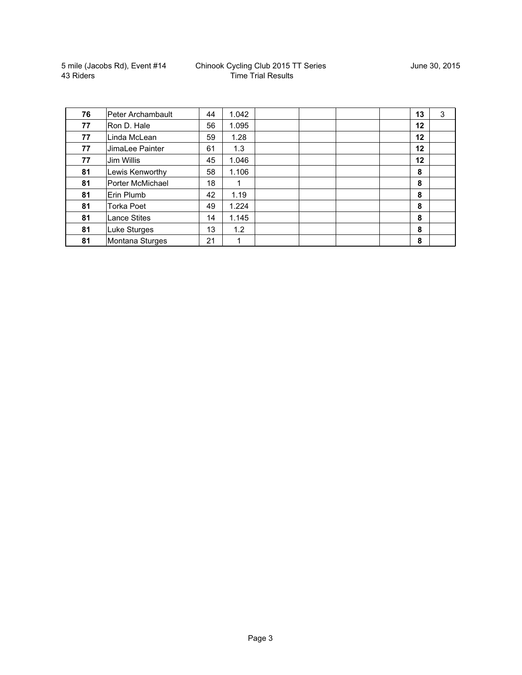5 mile (Jacobs Rd), Event #14 43 Riders

| 76 | Peter Archambault   | 44 | 1.042 |  | 13 | 3 |
|----|---------------------|----|-------|--|----|---|
| 77 | Ron D. Hale         | 56 | 1.095 |  | 12 |   |
| 77 | Linda McLean        | 59 | 1.28  |  | 12 |   |
| 77 | JimaLee Painter     | 61 | 1.3   |  | 12 |   |
| 77 | Jim Willis          | 45 | 1.046 |  | 12 |   |
| 81 | Lewis Kenworthy     | 58 | 1.106 |  | 8  |   |
| 81 | Porter McMichael    | 18 |       |  | 8  |   |
| 81 | Erin Plumb          | 42 | 1.19  |  | 8  |   |
| 81 | <b>Torka Poet</b>   | 49 | 1.224 |  | 8  |   |
| 81 | <b>Lance Stites</b> | 14 | 1.145 |  | 8  |   |
| 81 | Luke Sturges        | 13 | 1.2   |  | 8  |   |
| 81 | Montana Sturges     | 21 |       |  | 8  |   |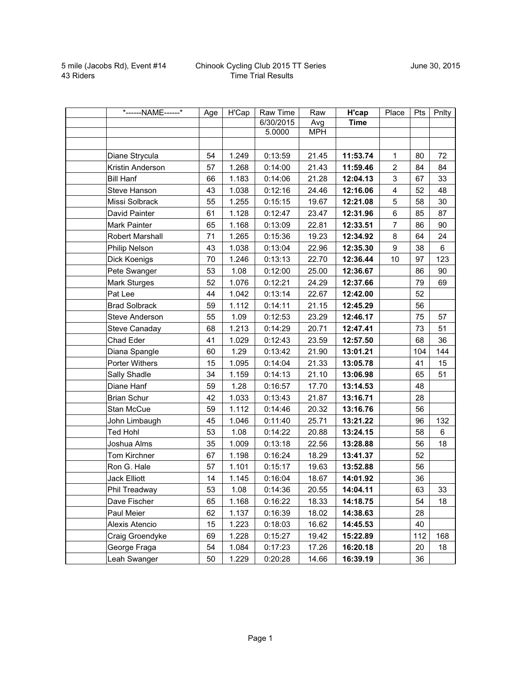| *------NAME------*   | Age | H'Cap | Raw Time  | Raw        | H'cap       | Place                   | Pts | Pnlty          |
|----------------------|-----|-------|-----------|------------|-------------|-------------------------|-----|----------------|
|                      |     |       | 6/30/2015 | Avg        | <b>Time</b> |                         |     |                |
|                      |     |       | 5.0000    | <b>MPH</b> |             |                         |     |                |
|                      |     |       |           |            |             |                         |     |                |
| Diane Strycula       | 54  | 1.249 | 0:13:59   | 21.45      | 11:53.74    | $\mathbf{1}$            | 80  | 72             |
| Kristin Anderson     | 57  | 1.268 | 0:14:00   | 21.43      | 11:59.46    | $\overline{2}$          | 84  | 84             |
| <b>Bill Hanf</b>     | 66  | 1.183 | 0:14:06   | 21.28      | 12:04.13    | 3                       | 67  | 33             |
| Steve Hanson         | 43  | 1.038 | 0:12:16   | 24.46      | 12:16.06    | $\overline{\mathbf{4}}$ | 52  | 48             |
| Missi Solbrack       | 55  | 1.255 | 0:15:15   | 19.67      | 12:21.08    | 5                       | 58  | 30             |
| David Painter        | 61  | 1.128 | 0:12:47   | 23.47      | 12:31.96    | 6                       | 85  | 87             |
| Mark Painter         | 65  | 1.168 | 0:13:09   | 22.81      | 12:33.51    | $\overline{7}$          | 86  | 90             |
| Robert Marshall      | 71  | 1.265 | 0:15:36   | 19.23      | 12:34.92    | $\,8\,$                 | 64  | 24             |
| Philip Nelson        | 43  | 1.038 | 0:13:04   | 22.96      | 12:35.30    | $\boldsymbol{9}$        | 38  | $6\phantom{a}$ |
| Dick Koenigs         | 70  | 1.246 | 0:13:13   | 22.70      | 12:36.44    | 10                      | 97  | 123            |
| Pete Swanger         | 53  | 1.08  | 0:12:00   | 25.00      | 12:36.67    |                         | 86  | 90             |
| <b>Mark Sturges</b>  | 52  | 1.076 | 0:12:21   | 24.29      | 12:37.66    |                         | 79  | 69             |
| Pat Lee              | 44  | 1.042 | 0:13:14   | 22.67      | 12:42.00    |                         | 52  |                |
| <b>Brad Solbrack</b> | 59  | 1.112 | 0:14:11   | 21.15      | 12:45.29    |                         | 56  |                |
| Steve Anderson       | 55  | 1.09  | 0:12:53   | 23.29      | 12:46.17    |                         | 75  | 57             |
| <b>Steve Canaday</b> | 68  | 1.213 | 0:14:29   | 20.71      | 12:47.41    |                         | 73  | 51             |
| Chad Eder            | 41  | 1.029 | 0:12:43   | 23.59      | 12:57.50    |                         | 68  | 36             |
| Diana Spangle        | 60  | 1.29  | 0:13:42   | 21.90      | 13:01.21    |                         | 104 | 144            |
| Porter Withers       | 15  | 1.095 | 0:14:04   | 21.33      | 13:05.78    |                         | 41  | 15             |
| Sally Shadle         | 34  | 1.159 | 0:14:13   | 21.10      | 13:06.98    |                         | 65  | 51             |
| Diane Hanf           | 59  | 1.28  | 0:16:57   | 17.70      | 13:14.53    |                         | 48  |                |
| <b>Brian Schur</b>   | 42  | 1.033 | 0:13:43   | 21.87      | 13:16.71    |                         | 28  |                |
| Stan McCue           | 59  | 1.112 | 0:14:46   | 20.32      | 13:16.76    |                         | 56  |                |
| John Limbaugh        | 45  | 1.046 | 0:11:40   | 25.71      | 13:21.22    |                         | 96  | 132            |
| <b>Ted Hohl</b>      | 53  | 1.08  | 0:14:22   | 20.88      | 13:24.15    |                         | 58  | 6              |
| Joshua Alms          | 35  | 1.009 | 0:13:18   | 22.56      | 13:28.88    |                         | 56  | 18             |
| Tom Kirchner         | 67  | 1.198 | 0:16:24   | 18.29      | 13:41.37    |                         | 52  |                |
| Ron G. Hale          | 57  | 1.101 | 0:15:17   | 19.63      | 13:52.88    |                         | 56  |                |
| Jack Elliott         | 14  | 1.145 | 0:16:04   | 18.67      | 14:01.92    |                         | 36  |                |
| Phil Treadway        | 53  | 1.08  | 0:14:36   | 20.55      | 14:04.11    |                         | 63  | 33             |
| Dave Fischer         | 65  | 1.168 | 0:16:22   | 18.33      | 14:18.75    |                         | 54  | 18             |
| Paul Meier           | 62  | 1.137 | 0:16:39   | 18.02      | 14:38.63    |                         | 28  |                |
| Alexis Atencio       | 15  | 1.223 | 0:18:03   | 16.62      | 14:45.53    |                         | 40  |                |
| Craig Groendyke      | 69  | 1.228 | 0:15:27   | 19.42      | 15:22.89    |                         | 112 | 168            |
| George Fraga         | 54  | 1.084 | 0:17:23   | 17.26      | 16:20.18    |                         | 20  | 18             |
| Leah Swanger         | 50  | 1.229 | 0:20:28   | 14.66      | 16:39.19    |                         | 36  |                |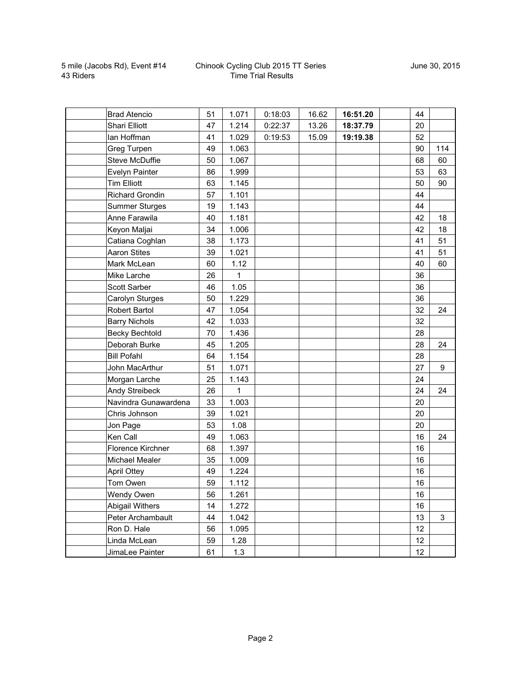|          | <b>Brad Atencio</b>    | 51 | 1.071        | 0:18:03 | 16.62 | 16:51.20 | 44 |     |
|----------|------------------------|----|--------------|---------|-------|----------|----|-----|
|          | Shari Elliott          | 47 | 1.214        | 0:22:37 | 13.26 | 18:37.79 | 20 |     |
|          | lan Hoffman            | 41 | 1.029        | 0:19:53 | 15.09 | 19:19.38 | 52 |     |
|          | Greg Turpen            | 49 | 1.063        |         |       |          | 90 | 114 |
|          | <b>Steve McDuffie</b>  | 50 | 1.067        |         |       |          | 68 | 60  |
|          | Evelyn Painter         | 86 | 1.999        |         |       |          | 53 | 63  |
|          | <b>Tim Elliott</b>     | 63 | 1.145        |         |       |          | 50 | 90  |
|          | <b>Richard Grondin</b> | 57 | 1.101        |         |       |          | 44 |     |
|          | <b>Summer Sturges</b>  | 19 | 1.143        |         |       |          | 44 |     |
|          | Anne Farawila          | 40 | 1.181        |         |       |          | 42 | 18  |
|          | Keyon Maljai           | 34 | 1.006        |         |       |          | 42 | 18  |
|          | Catiana Coghlan        | 38 | 1.173        |         |       |          | 41 | 51  |
|          | <b>Aaron Stites</b>    | 39 | 1.021        |         |       |          | 41 | 51  |
|          | Mark McLean            | 60 | 1.12         |         |       |          | 40 | 60  |
|          | Mike Larche            | 26 | $\mathbf{1}$ |         |       |          | 36 |     |
|          | <b>Scott Sarber</b>    | 46 | 1.05         |         |       |          | 36 |     |
|          | Carolyn Sturges        | 50 | 1.229        |         |       |          | 36 |     |
|          | Robert Bartol          | 47 | 1.054        |         |       |          | 32 | 24  |
|          | <b>Barry Nichols</b>   | 42 | 1.033        |         |       |          | 32 |     |
|          | <b>Becky Bechtold</b>  | 70 | 1.436        |         |       |          | 28 |     |
|          | Deborah Burke          | 45 | 1.205        |         |       |          | 28 | 24  |
|          | <b>Bill Pofahl</b>     | 64 | 1.154        |         |       |          | 28 |     |
|          | John MacArthur         | 51 | 1.071        |         |       |          | 27 | 9   |
|          | Morgan Larche          | 25 | 1.143        |         |       |          | 24 |     |
|          | Andy Streibeck         | 26 | 1            |         |       |          | 24 | 24  |
|          | Navindra Gunawardena   | 33 | 1.003        |         |       |          | 20 |     |
|          | Chris Johnson          | 39 | 1.021        |         |       |          | 20 |     |
|          | Jon Page               | 53 | 1.08         |         |       |          | 20 |     |
| Ken Call |                        | 49 | 1.063        |         |       |          | 16 | 24  |
|          | Florence Kirchner      | 68 | 1.397        |         |       |          | 16 |     |
|          | <b>Michael Mealer</b>  | 35 | 1.009        |         |       |          | 16 |     |
|          | <b>April Ottey</b>     | 49 | 1.224        |         |       |          | 16 |     |
|          | Tom Owen               | 59 | 1.112        |         |       |          | 16 |     |
|          | Wendy Owen             | 56 | 1.261        |         |       |          | 16 |     |
|          | Abigail Withers        | 14 | 1.272        |         |       |          | 16 |     |
|          | Peter Archambault      | 44 | 1.042        |         |       |          | 13 | 3   |
|          | Ron D. Hale            | 56 | 1.095        |         |       |          | 12 |     |
|          | Linda McLean           | 59 | 1.28         |         |       |          | 12 |     |
|          | JimaLee Painter        | 61 | 1.3          |         |       |          | 12 |     |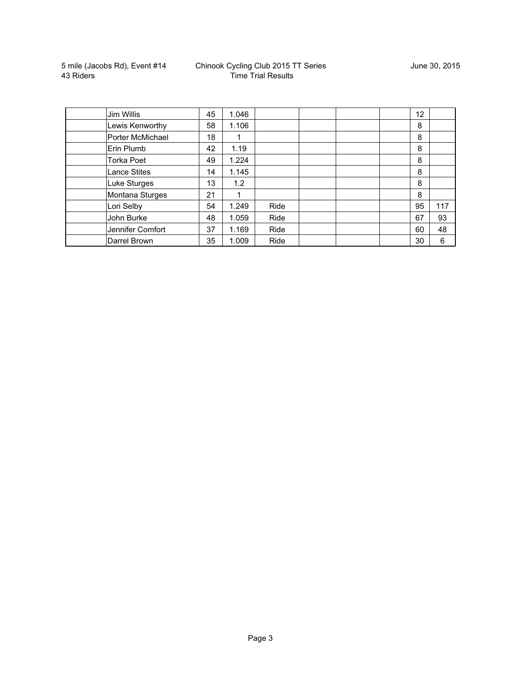| Jim Willis          | 45 | 1.046 |      |  | $12 \overline{ }$ |     |
|---------------------|----|-------|------|--|-------------------|-----|
| Lewis Kenworthy     | 58 | 1.106 |      |  | 8                 |     |
| Porter McMichael    | 18 |       |      |  | 8                 |     |
| Erin Plumb          | 42 | 1.19  |      |  | 8                 |     |
| <b>Torka Poet</b>   | 49 | 1.224 |      |  | 8                 |     |
| <b>Lance Stites</b> | 14 | 1.145 |      |  | 8                 |     |
| Luke Sturges        | 13 | 1.2   |      |  | 8                 |     |
| Montana Sturges     | 21 |       |      |  | 8                 |     |
| Lori Selby          | 54 | 1.249 | Ride |  | 95                | 117 |
| John Burke          | 48 | 1.059 | Ride |  | 67                | 93  |
| Jennifer Comfort    | 37 | 1.169 | Ride |  | 60                | 48  |
| Darrel Brown        | 35 | 1.009 | Ride |  | 30                | 6   |